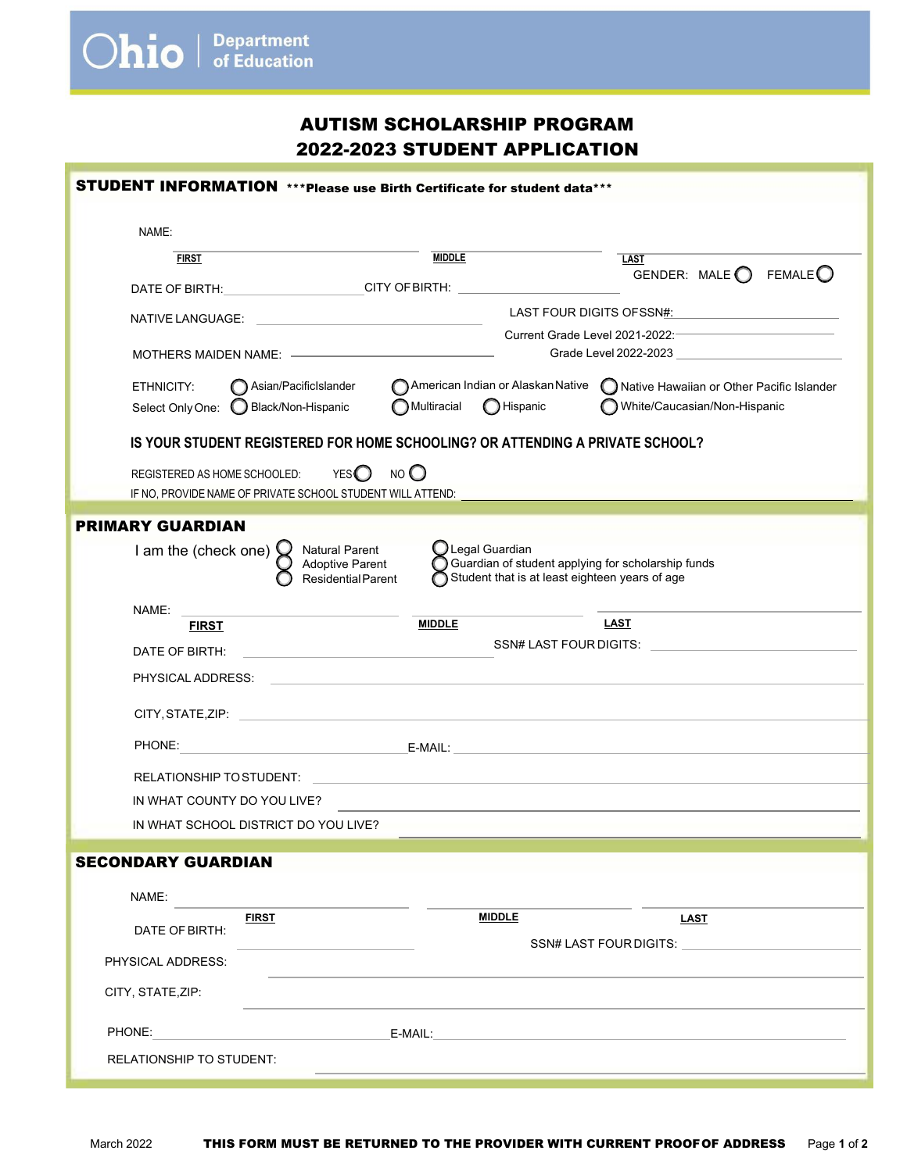**Ohio** *Department* 

| STUDENT INFORMATION *** Please use Birth Certificate for student data***                                                                                                                                                               |                                  |                                                                                |
|----------------------------------------------------------------------------------------------------------------------------------------------------------------------------------------------------------------------------------------|----------------------------------|--------------------------------------------------------------------------------|
| NAME:                                                                                                                                                                                                                                  |                                  |                                                                                |
| <b>FIRST</b>                                                                                                                                                                                                                           | <b>MIDDLE</b>                    | <b>LAST</b>                                                                    |
|                                                                                                                                                                                                                                        |                                  | GENDER: MALE $\bigcirc$ FEMALE $\bigcirc$                                      |
| DATE OF BIRTH: CITY OF BIRTH: CITY OF BIRTH:                                                                                                                                                                                           |                                  |                                                                                |
| NATIVE LANGUAGE:                                                                                                                                                                                                                       | LAST FOUR DIGITS OFSSN#:         |                                                                                |
|                                                                                                                                                                                                                                        | Grade Level 2022-2023 3          |                                                                                |
| Asian/PacificIslander<br>ETHNICITY:                                                                                                                                                                                                    |                                  | American Indian or Alaskan Native no Native Hawaiian or Other Pacific Islander |
| Select Only One: C Black/Non-Hispanic                                                                                                                                                                                                  | Multiracial<br><b>O</b> Hispanic | White/Caucasian/Non-Hispanic                                                   |
| IS YOUR STUDENT REGISTERED FOR HOME SCHOOLING? OR ATTENDING A PRIVATE SCHOOL?                                                                                                                                                          |                                  |                                                                                |
|                                                                                                                                                                                                                                        |                                  |                                                                                |
| NO<br>YES $\bigcirc$<br>REGISTERED AS HOME SCHOOLED:<br>IF NO, PROVIDE NAME OF PRIVATE SCHOOL STUDENT WILL ATTEND: _____________________                                                                                               |                                  |                                                                                |
|                                                                                                                                                                                                                                        |                                  |                                                                                |
| <b>PRIMARY GUARDIAN</b>                                                                                                                                                                                                                |                                  |                                                                                |
| $\bigcirc$ Legal Guardian<br>I am the (check one)<br><b>Natural Parent</b><br>Adoptive Parent<br>$\bigcirc$ Guardian of student applying for scholarship funds<br>Residential Parent<br>Student that is at least eighteen years of age |                                  |                                                                                |
| NAME:                                                                                                                                                                                                                                  |                                  |                                                                                |
| <b>FIRST</b>                                                                                                                                                                                                                           | <b>MIDDLE</b>                    | LAST                                                                           |
| DATE OF BIRTH:<br>the control of the control of the control of the control of the control of                                                                                                                                           |                                  | SSN# LAST FOUR DIGITS: SAMPLE AND THE SAMPLE STATES.                           |
| PHYSICAL ADDRESS:                                                                                                                                                                                                                      |                                  |                                                                                |
|                                                                                                                                                                                                                                        |                                  |                                                                                |
| PHONE:                                                                                                                                                                                                                                 |                                  |                                                                                |
| <b>RELATIONSHIP TO STUDENT:</b>                                                                                                                                                                                                        |                                  |                                                                                |
| IN WHAT COUNTY DO YOU LIVE?                                                                                                                                                                                                            |                                  |                                                                                |
| IN WHAT SCHOOL DISTRICT DO YOU LIVE?                                                                                                                                                                                                   |                                  |                                                                                |
|                                                                                                                                                                                                                                        |                                  |                                                                                |
| <b>SECONDARY GUARDIAN</b>                                                                                                                                                                                                              |                                  |                                                                                |
| NAME:                                                                                                                                                                                                                                  |                                  |                                                                                |
| <b>FIRST</b>                                                                                                                                                                                                                           | <b>MIDDLE</b>                    | <b>LAST</b>                                                                    |
| DATE OF BIRTH:                                                                                                                                                                                                                         |                                  |                                                                                |
| PHYSICAL ADDRESS:                                                                                                                                                                                                                      |                                  |                                                                                |
| CITY, STATE, ZIP:                                                                                                                                                                                                                      |                                  |                                                                                |
| PHONE:                                                                                                                                                                                                                                 | E-MAIL:                          |                                                                                |
| <b>RELATIONSHIP TO STUDENT:</b>                                                                                                                                                                                                        |                                  |                                                                                |